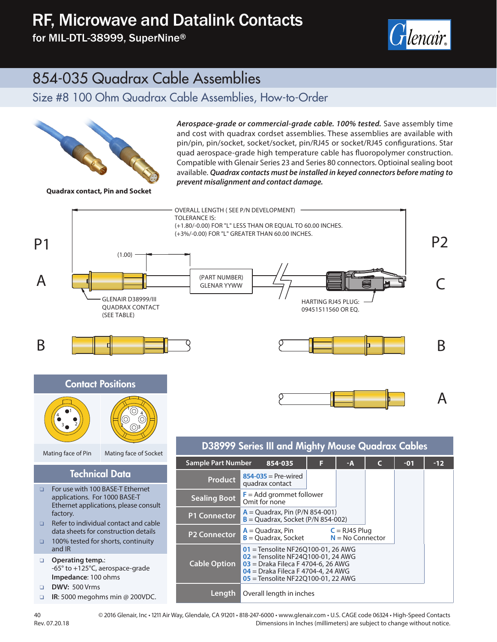# RF, Microwave and Datalink Contacts

for MIL-DTL-38999, SuperNine®



## 854-035 Quadrax Cable Assemblies

### Size #8 100 Ohm Quadrax Cable Assemblies, How-to-Order



*Aerospace-grade or commercial-grade cable. 100% tested.* Save assembly time and cost with quadrax cordset assemblies. These assemblies are available with pin/pin, pin/socket, socket/socket, pin/RJ45 or socket/RJ45 configurations. Star quad aerospace-grade high temperature cable has fluoropolymer construction. Compatible with Glenair Series 23 and Series 80 connectors. Optioinal sealing boot available. *Quadrax contacts must be installed in keyed connectors before mating to prevent misalignment and contact damage.* 

**Quadrax contact, Pin and Socket**







Mating face of Pin Mating face of Socket

#### Technical Data

- QQ For use with 100 BASE-T Ethernet applications. For 1000 BASE-T Ethernet applications, please consult factory.
- QQ Refer to individual contact and cable data sheets for construction details
- □ 100% tested for shorts, continuity and IR
- QQ **Operating temp.**: -65° to +125°C, aerospace-grade **Impedance**: 100 ohms
- QQ **DWV:** 500 Vrms
- **IR: 5000 megohms min @ 200VDC.**

### D38999 Series III and Mighty Mouse Quadrax Cables

| <b>Sample Part Number</b> | 854-035                                                                                                                                                                                        | Е | -A | г | $-01$ | $-12$ |
|---------------------------|------------------------------------------------------------------------------------------------------------------------------------------------------------------------------------------------|---|----|---|-------|-------|
| <b>Product</b>            | $854-035$ = Pre-wired<br>quadrax contact                                                                                                                                                       |   |    |   |       |       |
| <b>Sealing Boot</b>       | $F =$ Add grommet follower<br>Omit for none                                                                                                                                                    |   |    |   |       |       |
| <b>P1 Connector</b>       | $A =$ Quadrax, Pin (P/N 854-001)<br>$B =$ Ouadrax, Socket (P/N 854-002)                                                                                                                        |   |    |   |       |       |
| <b>P2 Connector</b>       | $A =$ Ouadrax, Pin<br>$C = RJ45$ Plug<br>$N = No$ Connector<br>$B =$ Ouadrax, Socket                                                                                                           |   |    |   |       |       |
| <b>Cable Option</b>       | $01$ = Tensolite NF26O100-01, 26 AWG<br>02 = Tensolite NF24O100-01, 24 AWG<br>$03$ = Draka Fileca F 4704-6, 26 AWG<br>04 = Draka Fileca F 4704-4, 24 AWG<br>05 = Tensolite NF22Q100-01, 22 AWG |   |    |   |       |       |
| Length                    | Overall length in inches                                                                                                                                                                       |   |    |   |       |       |

40 © 2016 Glenair, Inc • 1211 Air Way, Glendale, CA 91201 • 818-247-6000 • www.glenair.com • U.S. CAGE code 06324 • High-Speed Contacts Dimensions in Inches (millimeters) are subject to change without notice.